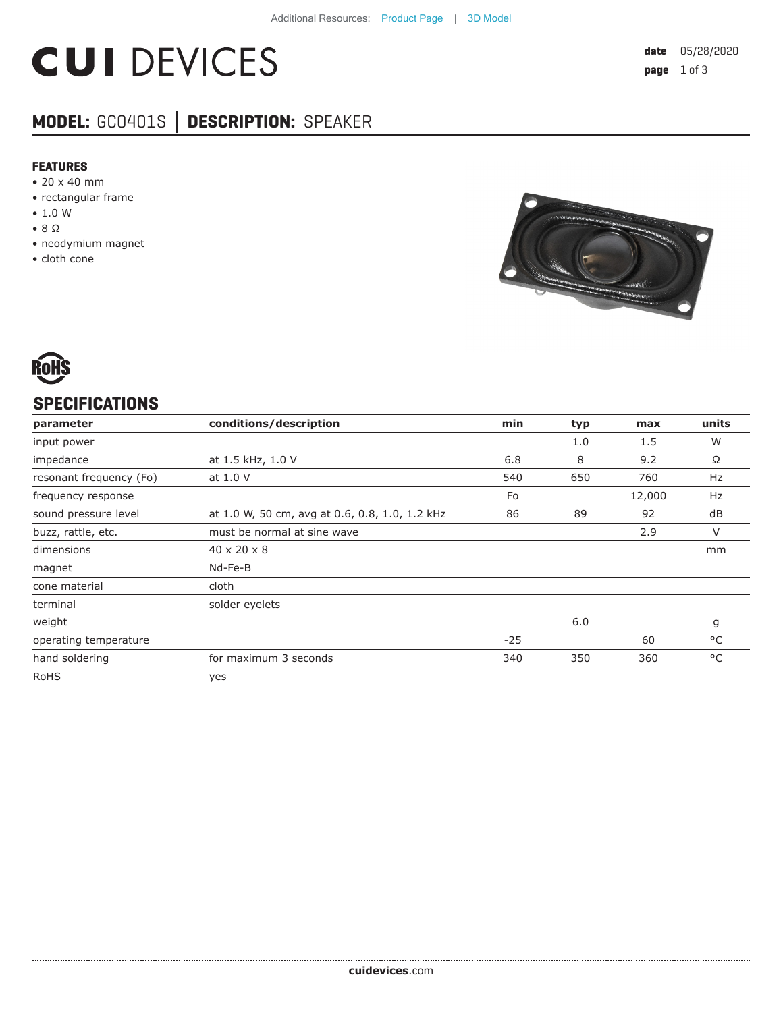# **CUI DEVICES**

## **MODEL:** GC0401S **│ DESCRIPTION:** SPEAKER

#### **FEATURES**

- 20 x 40 mm
- rectangular frame
- 1.0 W
- 8 Ω
- neodymium magnet
- cloth cone





### **SPECIFICATIONS**

| parameter               | conditions/description                         | min   | typ | max    | units |
|-------------------------|------------------------------------------------|-------|-----|--------|-------|
| input power             |                                                |       | 1.0 | 1.5    | W     |
| impedance               | at 1.5 kHz, 1.0 V                              | 6.8   | 8   | 9.2    | Ω     |
| resonant frequency (Fo) | at 1.0 V                                       | 540   | 650 | 760    | Hz    |
| frequency response      |                                                | Fo    |     | 12,000 | Hz    |
| sound pressure level    | at 1.0 W, 50 cm, avg at 0.6, 0.8, 1.0, 1.2 kHz | 86    | 89  | 92     | dB    |
| buzz, rattle, etc.      | must be normal at sine wave                    |       |     | 2.9    | V     |
| dimensions              | $40 \times 20 \times 8$                        |       |     |        | mm    |
| magnet                  | Nd-Fe-B                                        |       |     |        |       |
| cone material           | cloth                                          |       |     |        |       |
| terminal                | solder eyelets                                 |       |     |        |       |
| weight                  |                                                |       | 6.0 |        | g     |
| operating temperature   |                                                | $-25$ |     | 60     | °C    |
| hand soldering          | for maximum 3 seconds                          | 340   | 350 | 360    | °C    |
| <b>RoHS</b>             | yes                                            |       |     |        |       |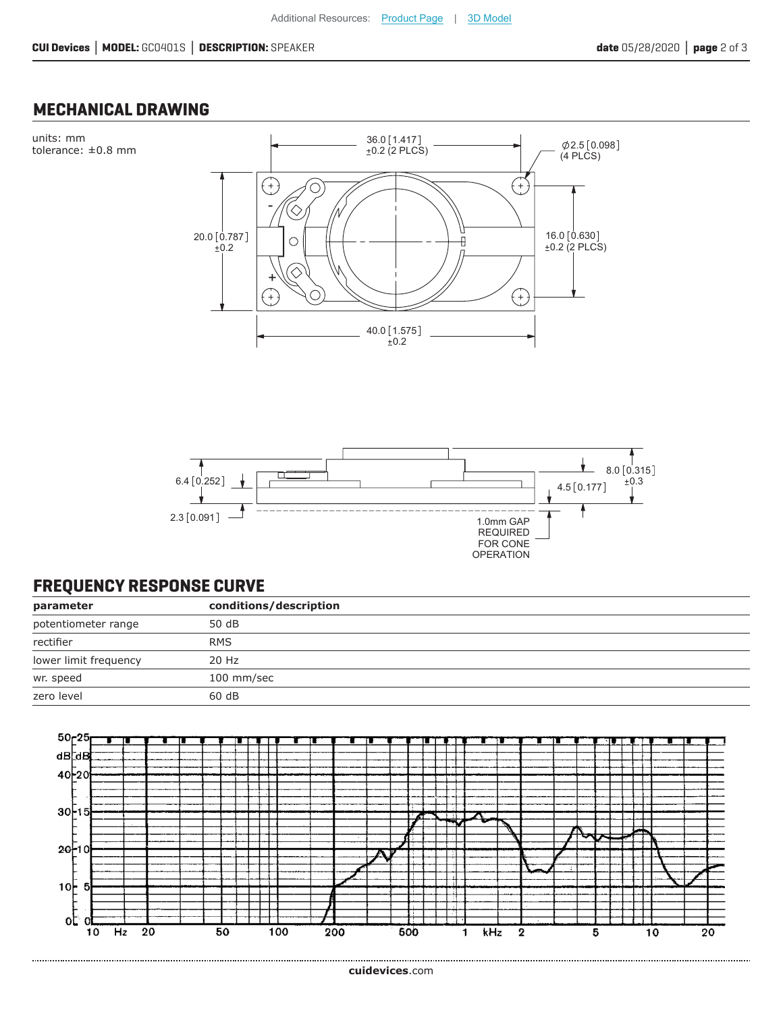### **MECHANICAL DRAWING**





### **FREQUENCY RESPONSE CURVE**

| parameter             | conditions/description |
|-----------------------|------------------------|
| potentiometer range   | 50 dB                  |
| rectifier             | <b>RMS</b>             |
| lower limit frequency | 20 Hz                  |
| wr. speed             | 100 mm/sec             |
| zero level            | 60dB                   |